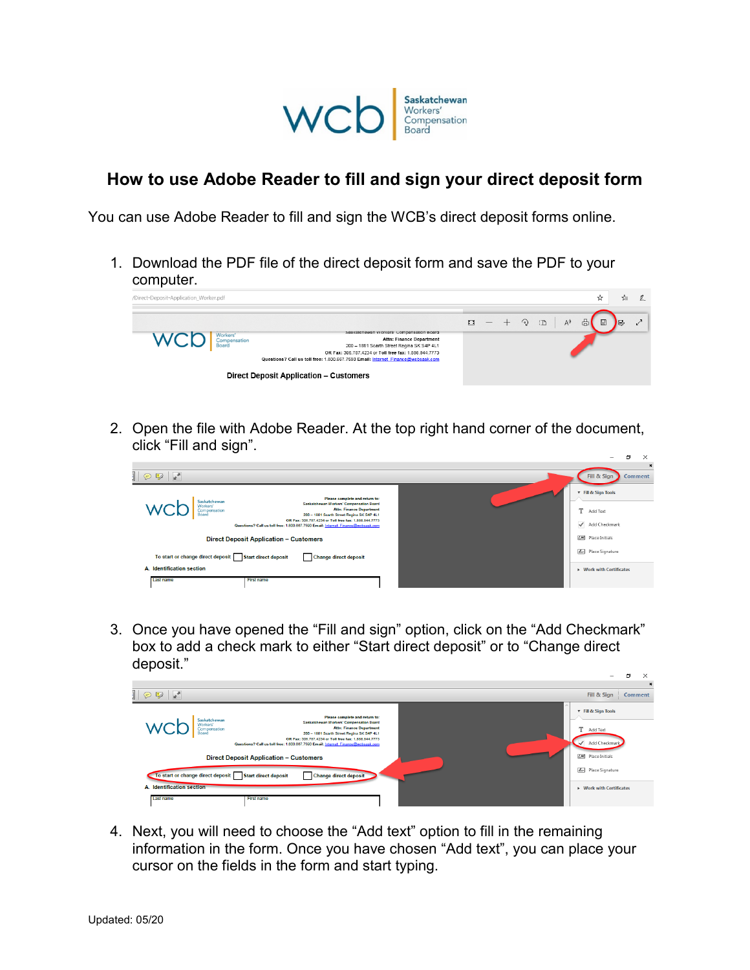

## **How to use Adobe Reader to fill and sign your direct deposit form**

You can use Adobe Reader to fill and sign the WCB's direct deposit forms online.

1. Download the PDF file of the direct deposit form and save the PDF to your computer.



2. Open the file with Adobe Reader. At the top right hand corner of the document, click "Fill and sign".



3. Once you have opened the "Fill and sign" option, click on the "Add Checkmark" box to add a check mark to either "Start direct deposit" or to "Change direct deposit."



4. Next, you will need to choose the "Add text" option to fill in the remaining information in the form. Once you have chosen "Add text", you can place your cursor on the fields in the form and start typing.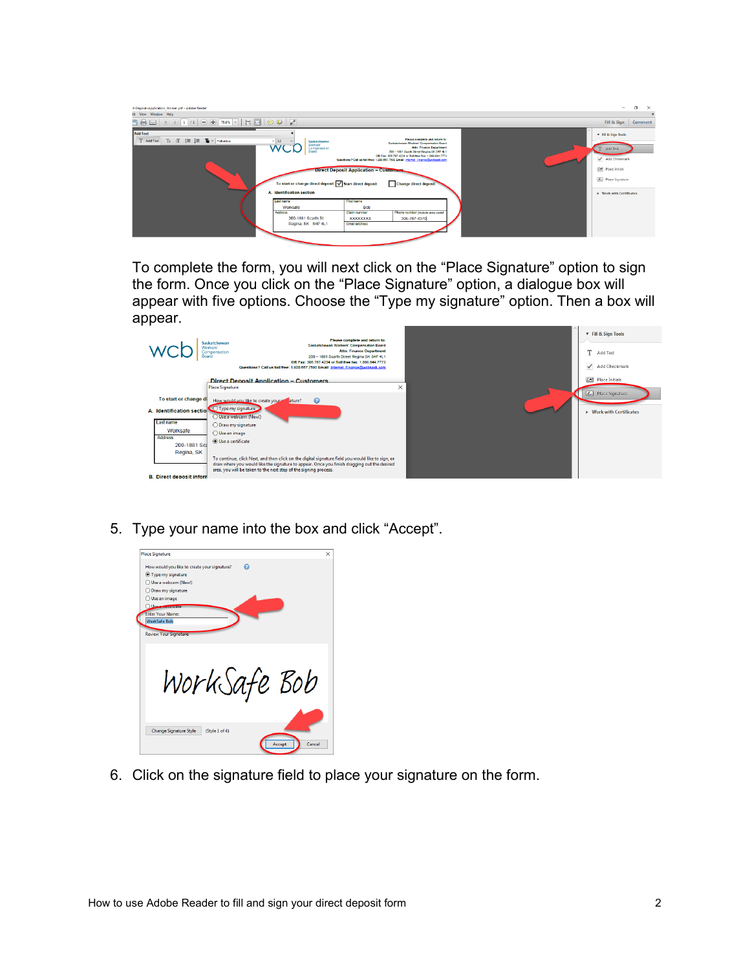| :t-Deposit-Application Worker.pdf - Adobe Reader<br>fit View Window Help                                                                                       |                                                                                                                                                                                                                                                        |                                                                                                                                |                                                                                                                                                                                                                                                                                                                                                                                              |  | -                                                                                                                                     | $\sigma$<br>$\times$ |
|----------------------------------------------------------------------------------------------------------------------------------------------------------------|--------------------------------------------------------------------------------------------------------------------------------------------------------------------------------------------------------------------------------------------------------|--------------------------------------------------------------------------------------------------------------------------------|----------------------------------------------------------------------------------------------------------------------------------------------------------------------------------------------------------------------------------------------------------------------------------------------------------------------------------------------------------------------------------------------|--|---------------------------------------------------------------------------------------------------------------------------------------|----------------------|
|                                                                                                                                                                |                                                                                                                                                                                                                                                        |                                                                                                                                |                                                                                                                                                                                                                                                                                                                                                                                              |  | Fill & Sign   Comment                                                                                                                 |                      |
| <b>Add Text</b><br>T Add Text<br>$\mathbb{T}:\mathbb{T}^{\times}\to\mathbb{R}^{\times}\to\mathbb{R}^{\times}\to\mathbb{R}^{\times}$ Helvetica<br>e de la provi | $~\vee$ 12<br>Saskatchewan<br>Workers'<br>WC<br>Compensation<br>Board<br>To start or change direct deposit V Start direct deposit<br>A. Identification section<br>Last name<br>Worksafe<br><b>Address</b><br>200-1881 Scarth St.<br>Regina, SK S4P 4L1 | <b>Direct Deposit Application - Customers</b><br>First name<br><b>Bob</b><br>Claim number<br><b>XXXXXXXXX</b><br>Email address | Please complete and return to:<br>Saskatchewan Workers' Compensation Board<br><b>Attn: Finance Department</b><br>200 - 1881 Searth Street Regina SK S4P 4L1<br>OR Fax: 300.787.4234 or Toll free fax: 1.888.844.7773<br>Questions? Call us toll free: 1.800.667.7590 Email: Internet Finance@wcbsask.com<br><b>Change direct deposit</b><br>Phone number (include area code)<br>306-787-4370 |  | <b>T</b> Fill & Sign Tools<br>Add Text<br>Add Checkmark<br>ZM Place Initials<br><b>Z.</b> Place Signature<br>> Work with Certificates |                      |
|                                                                                                                                                                |                                                                                                                                                                                                                                                        |                                                                                                                                |                                                                                                                                                                                                                                                                                                                                                                                              |  |                                                                                                                                       |                      |

To complete the form, you will next click on the "Place Signature" option to sign the form. Once you click on the "Place Signature" option, a dialogue box will appear with five options. Choose the "Type my signature" option. Then a box will appear.

| Board                                                                                                                                                                                         | Please complete and return to:<br>Saskatchewan<br>Saskatchewan Workers' Compensation Board<br>Workers'<br><b>Attn: Finance Department</b><br>Compensation<br>200 - 1881 Scarth Street Regina SK S4P 4L1<br>OR Fax: 306.787.4234 or Toll free fax: 1.888.844.7773<br>Questions? Call us toll free: 1.800.667.7590 Email: Internet Finance@wcbsask.com                                                                               | <b>v</b> Fill & Sign Tools<br>T.<br>Add Text<br>Add Checkmark |
|-----------------------------------------------------------------------------------------------------------------------------------------------------------------------------------------------|------------------------------------------------------------------------------------------------------------------------------------------------------------------------------------------------------------------------------------------------------------------------------------------------------------------------------------------------------------------------------------------------------------------------------------|---------------------------------------------------------------|
|                                                                                                                                                                                               | <b>Direct Deposit Application - Customers</b><br>×.<br><b>Place Signature</b>                                                                                                                                                                                                                                                                                                                                                      | LM Place Initials                                             |
| To start or change di<br>A. Identification sectio <a> Type my signature<br/>Last name<br/>Worksafe<br/><b>Address</b><br/>200-1881 Sca<br/>Regina, SK<br/><b>B.</b> Direct deposit inform</a> | How would you like to create your at ature?<br>$\bullet$<br>Use a webcam (New!)<br>$\bigcirc$ Draw my signature<br>◯ Use an image<br>(a) Use a certificate<br>To continue, click Next, and then click on the digital signature field you would like to sign, or<br>draw where you would like the signature to appear. Once you finish dragging out the desired<br>area, you will be taken to the next step of the signing process. | Zu Place Signature<br>$\triangleright$ Work with Certificates |

5. Type your name into the box and click "Accept".

| <b>Place Signature</b>                                                                                 | × |
|--------------------------------------------------------------------------------------------------------|---|
| ⋒<br>How would you like to create your signature?<br><b>Type my signature</b><br>◯ Use a webcam (New!) |   |
| O Draw my signature                                                                                    |   |
| O Use an image<br>Use Securitore                                                                       |   |
| <b>Enter Your Name:</b><br><b>WorkSafe Bob</b>                                                         |   |
| <b>Review Your Signature:</b>                                                                          |   |
|                                                                                                        |   |
|                                                                                                        |   |
| WorkSafe Bob                                                                                           |   |
|                                                                                                        |   |
|                                                                                                        |   |
|                                                                                                        |   |
| <b>Change Signature Style</b><br>(Style 1 of 4)                                                        |   |
| Cancel<br>Accept                                                                                       |   |
|                                                                                                        |   |

6. Click on the signature field to place your signature on the form.